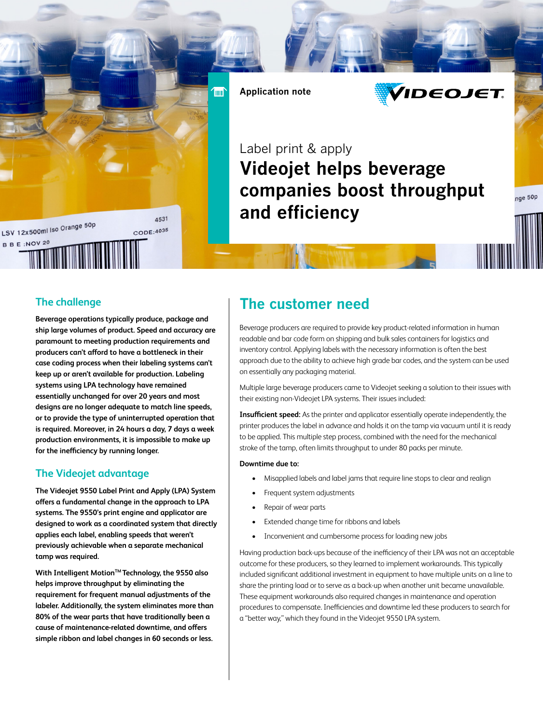**Application note**

**Time** 



# Label print & apply **Videojet helps beverage companies boost throughput and efficiency**

nge 50p

## **The challenge**

LSV 12x500ml lso Orange 50p

B B E : NOV 20

**Beverage operations typically produce, package and ship large volumes of product. Speed and accuracy are paramount to meeting production requirements and producers can't afford to have a bottleneck in their case coding process when their labeling systems can't keep up or aren't available for production. Labeling systems using LPA technology have remained essentially unchanged for over 20 years and most designs are no longer adequate to match line speeds, or to provide the type of uninterrupted operation that is required. Moreover, in 24 hours a day, 7 days a week production environments, it is impossible to make up for the inefficiency by running longer.** 

4531

CODE: 4035

## **The Videojet advantage**

**The Videojet 9550 Label Print and Apply (LPA) System offers a fundamental change in the approach to LPA systems. The 9550's print engine and applicator are designed to work as a coordinated system that directly applies each label, enabling speeds that weren't previously achievable when a separate mechanical tamp was required.** 

With Intelligent Motion<sup>™</sup> Technology, the 9550 also **helps improve throughput by eliminating the requirement for frequent manual adjustments of the labeler. Additionally, the system eliminates more than 80% of the wear parts that have traditionally been a cause of maintenance-related downtime, and offers simple ribbon and label changes in 60 seconds or less.**

## **The customer need**

Beverage producers are required to provide key product-related information in human readable and bar code form on shipping and bulk sales containers for logistics and inventory control. Applying labels with the necessary information is often the best approach due to the ability to achieve high grade bar codes, and the system can be used on essentially any packaging material.

Multiple large beverage producers came to Videojet seeking a solution to their issues with their existing non-Videojet LPA systems. Their issues included:

**Insufficient speed:** As the printer and applicator essentially operate independently, the printer produces the label in advance and holds it on the tamp via vacuum until it is ready to be applied. This multiple step process, combined with the need for the mechanical stroke of the tamp, often limits throughput to under 80 packs per minute.

#### **Downtime due to:**

- Misapplied labels and label jams that require line stops to clear and realign
- Frequent system adjustments
- Repair of wear parts
- Extended change time for ribbons and labels
- Inconvenient and cumbersome process for loading new jobs

Having production back-ups because of the inefficiency of their LPA was not an acceptable outcome for these producers, so they learned to implement workarounds. This typically included significant additional investment in equipment to have multiple units on a line to share the printing load or to serve as a back-up when another unit became unavailable. These equipment workarounds also required changes in maintenance and operation procedures to compensate. Inefficiencies and downtime led these producers to search for a "better way," which they found in the Videojet 9550 LPA system.